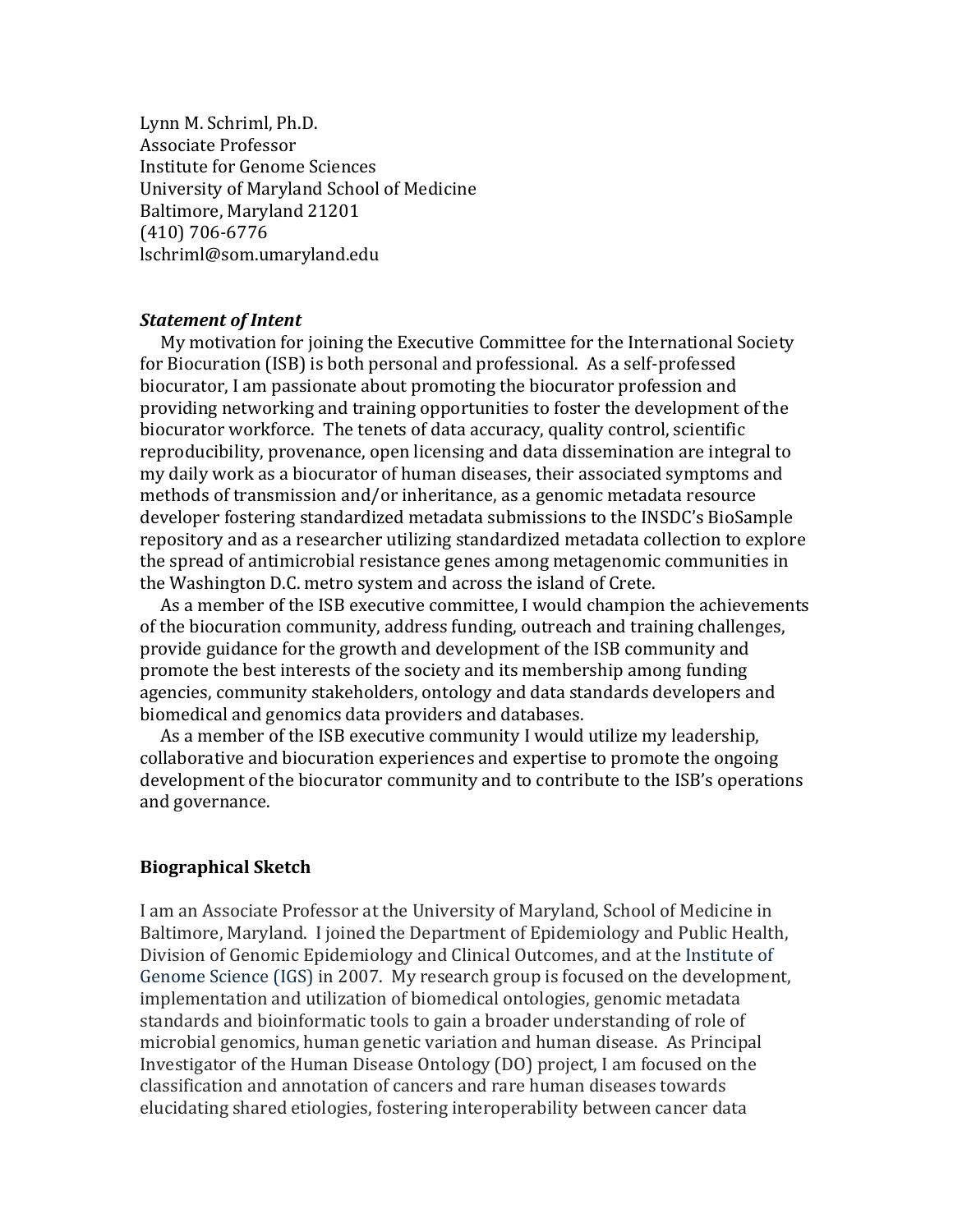Lynn M. Schriml, Ph.D. Associate Professor Institute for Genome Sciences University of Maryland School of Medicine Baltimore, Maryland 21201 (410) 706-6776 lschriml@som.umaryland.edu

### *Statement of Intent*

My motivation for joining the Executive Committee for the International Society for Biocuration (ISB) is both personal and professional. As a self-professed biocurator, I am passionate about promoting the biocurator profession and providing networking and training opportunities to foster the development of the biocurator workforce. The tenets of data accuracy, quality control, scientific reproducibility, provenance, open licensing and data dissemination are integral to my daily work as a biocurator of human diseases, their associated symptoms and methods of transmission and/or inheritance, as a genomic metadata resource developer fostering standardized metadata submissions to the INSDC's BioSample repository and as a researcher utilizing standardized metadata collection to explore the spread of antimicrobial resistance genes among metagenomic communities in the Washington D.C. metro system and across the island of Crete.

As a member of the ISB executive committee, I would champion the achievements of the biocuration community, address funding, outreach and training challenges, provide guidance for the growth and development of the ISB community and promote the best interests of the society and its membership among funding agencies, community stakeholders, ontology and data standards developers and biomedical and genomics data providers and databases.

As a member of the ISB executive community I would utilize my leadership, collaborative and biocuration experiences and expertise to promote the ongoing development of the biocurator community and to contribute to the ISB's operations and governance.

### **Biographical Sketch**

I am an Associate Professor at the University of Maryland, School of Medicine in Baltimore, Maryland. I joined the Department of Epidemiology and Public Health, Division of Genomic Epidemiology and Clinical Outcomes, and at the Institute of Genome Science (IGS) in 2007. My research group is focused on the development, implementation and utilization of biomedical ontologies, genomic metadata standards and bioinformatic tools to gain a broader understanding of role of microbial genomics, human genetic variation and human disease. As Principal Investigator of the Human Disease Ontology (DO) project, I am focused on the classification and annotation of cancers and rare human diseases towards elucidating shared etiologies, fostering interoperability between cancer data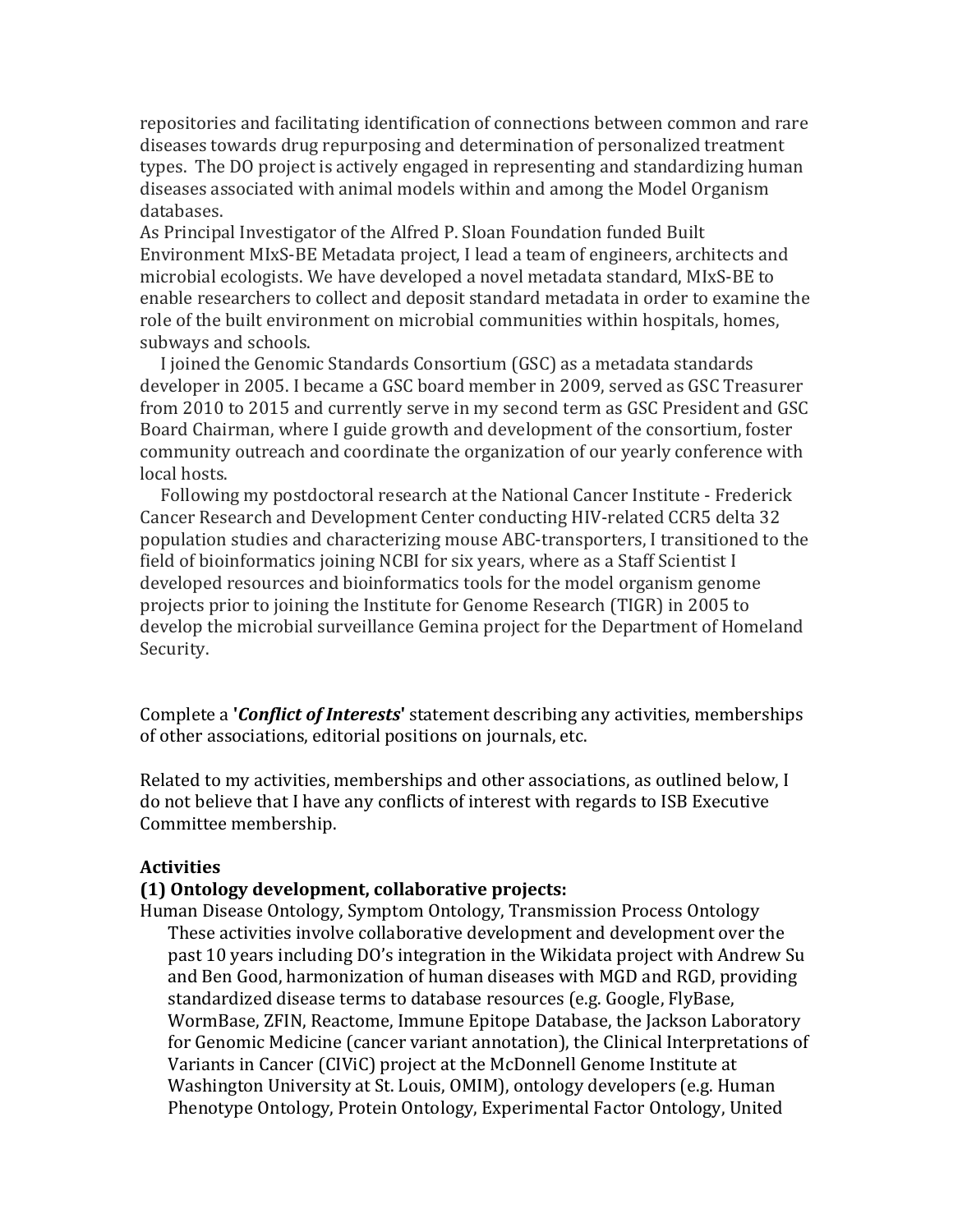repositories and facilitating identification of connections between common and rare diseases towards drug repurposing and determination of personalized treatment types. The DO project is actively engaged in representing and standardizing human diseases associated with animal models within and among the Model Organism databases. 

As Principal Investigator of the Alfred P. Sloan Foundation funded Built Environment MIxS-BE Metadata project, I lead a team of engineers, architects and microbial ecologists. We have developed a novel metadata standard, MIxS-BE to enable researchers to collect and deposit standard metadata in order to examine the role of the built environment on microbial communities within hospitals, homes, subways and schools.

I joined the Genomic Standards Consortium (GSC) as a metadata standards developer in 2005. I became a GSC board member in 2009, served as GSC Treasurer from 2010 to 2015 and currently serve in my second term as GSC President and GSC Board Chairman, where I guide growth and development of the consortium, foster community outreach and coordinate the organization of our yearly conference with local hosts.

Following my postdoctoral research at the National Cancer Institute - Frederick Cancer Research and Development Center conducting HIV-related CCR5 delta 32 population studies and characterizing mouse ABC-transporters, I transitioned to the field of bioinformatics joining NCBI for six years, where as a Staff Scientist I developed resources and bioinformatics tools for the model organism genome projects prior to joining the Institute for Genome Research (TIGR) in 2005 to develop the microbial surveillance Gemina project for the Department of Homeland Security.

Complete a *Conflict of Interests* statement describing any activities, memberships of other associations, editorial positions on journals, etc.

Related to my activities, memberships and other associations, as outlined below, I do not believe that I have any conflicts of interest with regards to ISB Executive Committee membership.

### **Activities**

### **(1) Ontology development, collaborative projects:**

Human Disease Ontology, Symptom Ontology, Transmission Process Ontology These activities involve collaborative development and development over the past 10 years including DO's integration in the Wikidata project with Andrew Su and Ben Good, harmonization of human diseases with MGD and RGD, providing standardized disease terms to database resources (e.g. Google, FlyBase, WormBase, ZFIN, Reactome, Immune Epitope Database, the Jackson Laboratory for Genomic Medicine (cancer variant annotation), the Clinical Interpretations of Variants in Cancer (CIViC) project at the McDonnell Genome Institute at Washington University at St. Louis, OMIM), ontology developers (e.g. Human Phenotype Ontology, Protein Ontology, Experimental Factor Ontology, United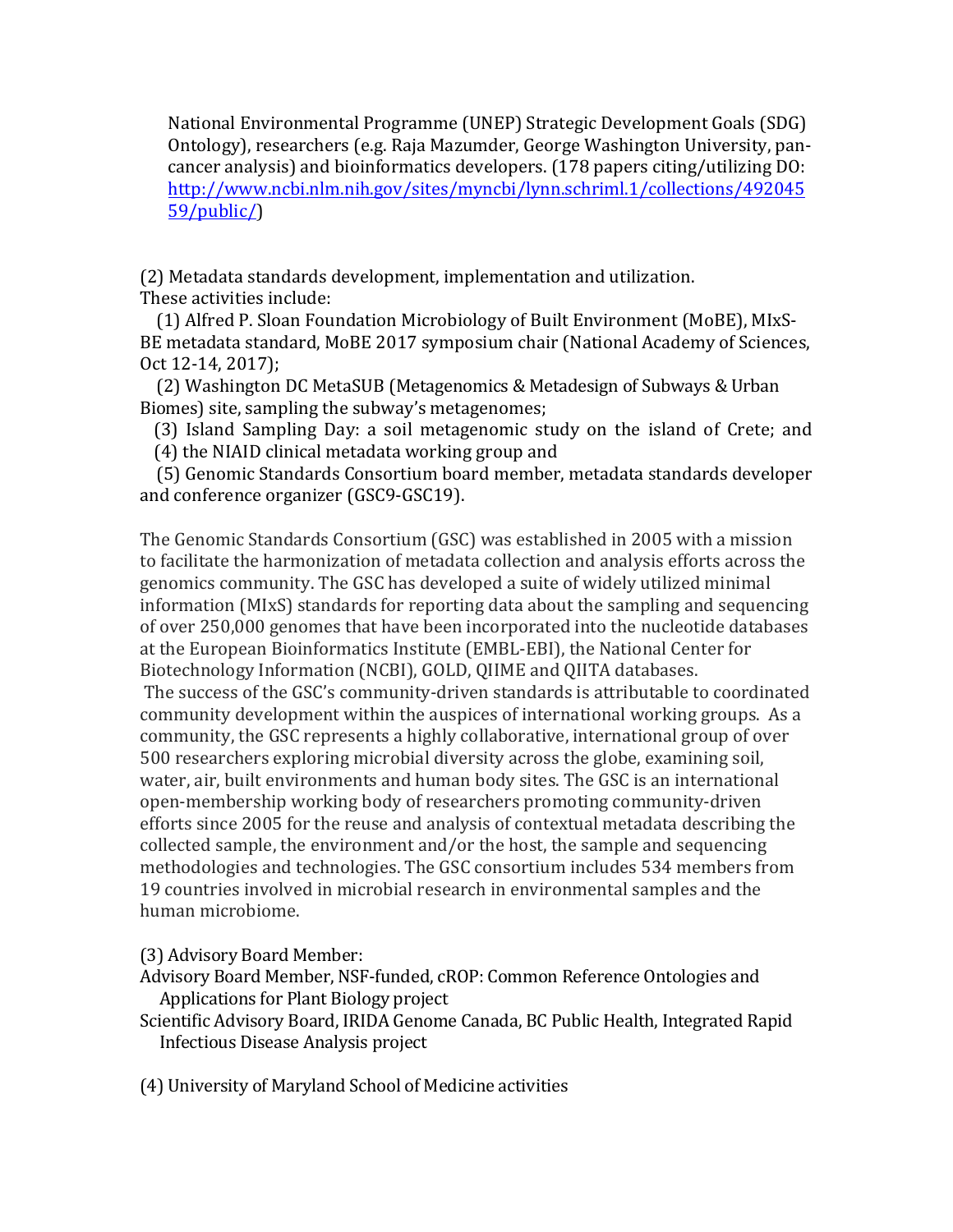National Environmental Programme (UNEP) Strategic Development Goals (SDG) Ontology), researchers (e.g. Raja Mazumder, George Washington University, pancancer analysis) and bioinformatics developers. (178 papers citing/utilizing DO: http://www.ncbi.nlm.nih.gov/sites/myncbi/lynn.schriml.1/collections/492045 59/public/) 

(2) Metadata standards development, implementation and utilization. These activities include:

(1) Alfred P. Sloan Foundation Microbiology of Built Environment (MoBE), MIxS-BE metadata standard, MoBE 2017 symposium chair (National Academy of Sciences, Oct 12-14, 2017);

(2) Washington DC MetaSUB (Metagenomics & Metadesign of Subways & Urban Biomes) site, sampling the subway's metagenomes;

(3) Island Sampling Day: a soil metagenomic study on the island of Crete; and  $(4)$  the NIAID clinical metadata working group and

(5) Genomic Standards Consortium board member, metadata standards developer and conference organizer (GSC9-GSC19).

The Genomic Standards Consortium (GSC) was established in 2005 with a mission to facilitate the harmonization of metadata collection and analysis efforts across the genomics community. The GSC has developed a suite of widely utilized minimal information  $(MIxS)$  standards for reporting data about the sampling and sequencing of over 250,000 genomes that have been incorporated into the nucleotide databases at the European Bioinformatics Institute (EMBL-EBI), the National Center for Biotechnology Information (NCBI), GOLD, QIIME and QIITA databases. The success of the GSC's community-driven standards is attributable to coordinated community development within the auspices of international working groups. As a community, the GSC represents a highly collaborative, international group of over 500 researchers exploring microbial diversity across the globe, examining soil, water, air, built environments and human body sites. The GSC is an international open-membership working body of researchers promoting community-driven efforts since 2005 for the reuse and analysis of contextual metadata describing the collected sample, the environment and/or the host, the sample and sequencing methodologies and technologies. The GSC consortium includes 534 members from 19 countries involved in microbial research in environmental samples and the human microbiome.

(3) Advisory Board Member:

Advisory Board Member, NSF-funded, cROP: Common Reference Ontologies and Applications for Plant Biology project

- Scientific Advisory Board, IRIDA Genome Canada, BC Public Health, Integrated Rapid Infectious Disease Analysis project
- (4) University of Maryland School of Medicine activities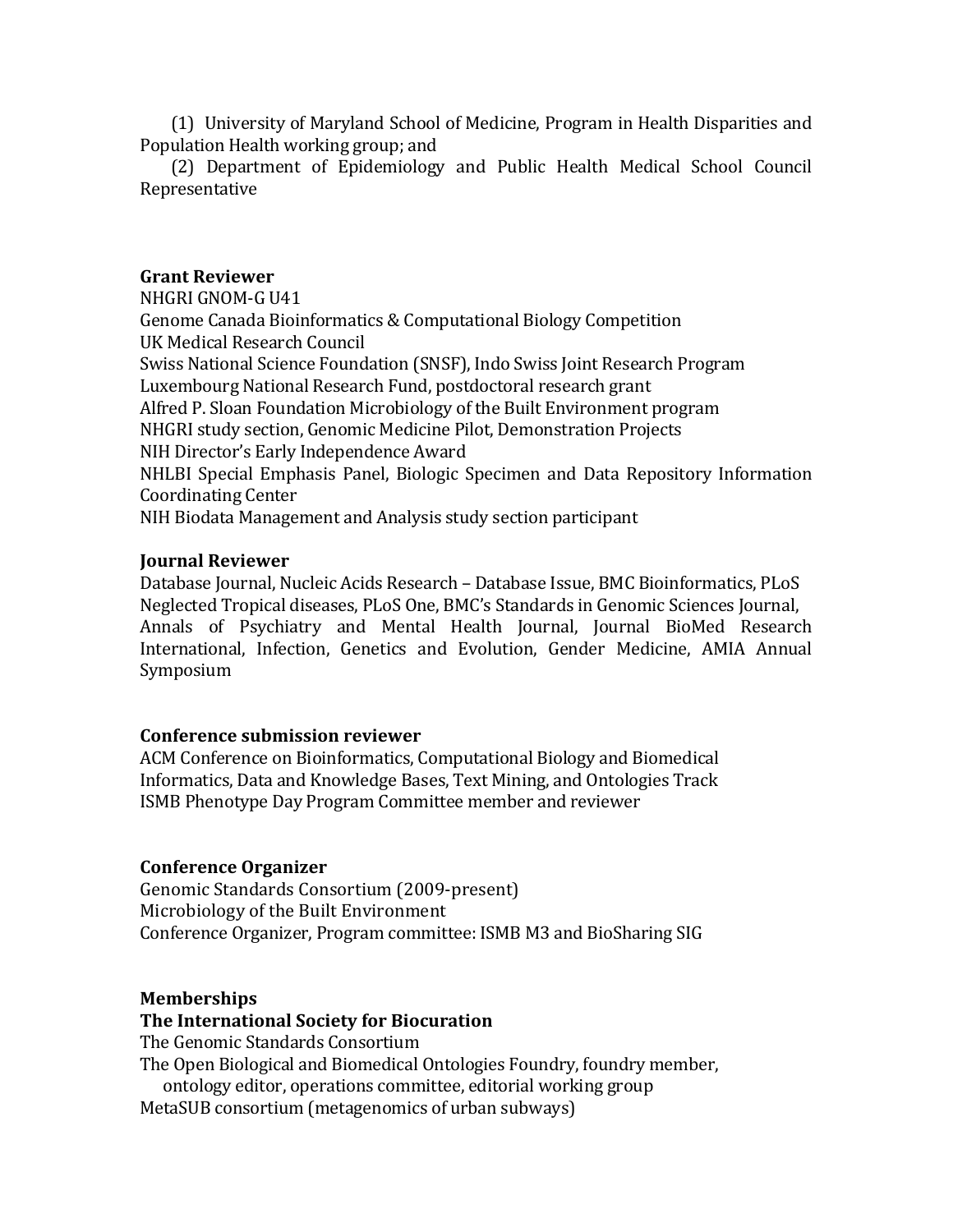(1) University of Maryland School of Medicine, Program in Health Disparities and Population Health working group; and

 (2) Department of Epidemiology and Public Health Medical School Council Representative

## **Grant Reviewer**

NHGRI GNOM-G U41 Genome Canada Bioinformatics & Computational Biology Competition UK Medical Research Council Swiss National Science Foundation (SNSF), Indo Swiss Joint Research Program Luxembourg National Research Fund, postdoctoral research grant Alfred P. Sloan Foundation Microbiology of the Built Environment program NHGRI study section, Genomic Medicine Pilot, Demonstration Projects NIH Director's Early Independence Award NHLBI Special Emphasis Panel, Biologic Specimen and Data Repository Information Coordinating Center NIH Biodata Management and Analysis study section participant

## **Journal Reviewer**

Database Journal, Nucleic Acids Research - Database Issue, BMC Bioinformatics, PLoS Neglected Tropical diseases, PLoS One, BMC's Standards in Genomic Sciences Journal, Annals of Psychiatry and Mental Health Journal, Journal BioMed Research International, Infection, Genetics and Evolution, Gender Medicine, AMIA Annual Symposium

# **Conference submission reviewer**

ACM Conference on Bioinformatics, Computational Biology and Biomedical Informatics, Data and Knowledge Bases, Text Mining, and Ontologies Track ISMB Phenotype Day Program Committee member and reviewer

### **Conference Organizer**

Genomic Standards Consortium (2009-present) Microbiology of the Built Environment Conference Organizer, Program committee: ISMB M3 and BioSharing SIG

#### **Memberships**

### **The International Society for Biocuration**

The Genomic Standards Consortium

The Open Biological and Biomedical Ontologies Foundry, foundry member, ontology editor, operations committee, editorial working group MetaSUB consortium (metagenomics of urban subways)